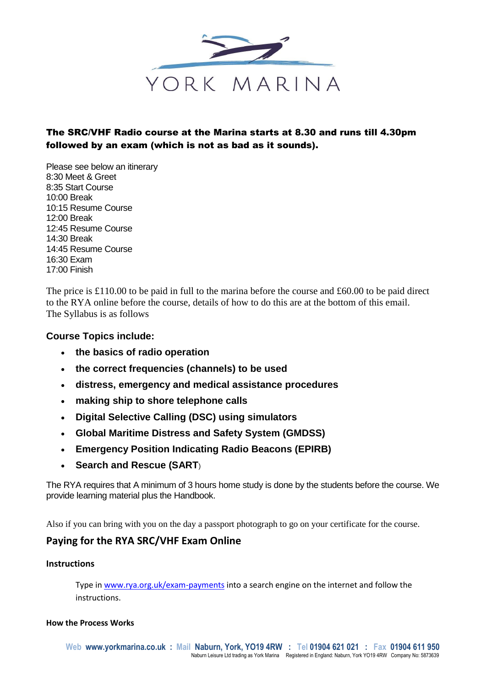

# The SRC/VHF Radio course at the Marina starts at 8.30 and runs till 4.30pm followed by an exam (which is not as bad as it sounds).

Please see below an itinerary 8:30 Meet & Greet 8:35 Start Course 10:00 Break 10:15 Resume Course 12:00 Break 12:45 Resume Course 14:30 Break 14:45 Resume Course 16:30 Exam 17:00 Finish

The price is £110.00 to be paid in full to the marina before the course and £60.00 to be paid direct to the RYA online before the course, details of how to do this are at the bottom of this email. The Syllabus is as follows

### **Course Topics include:**

- **the basics of radio operation**
- **the correct frequencies (channels) to be used**
- **distress, emergency and medical assistance procedures**
- **making ship to shore telephone calls**
- **Digital Selective Calling (DSC) using simulators**
- **Global Maritime Distress and Safety System (GMDSS)**
- **Emergency Position Indicating Radio Beacons (EPIRB)**
- **Search and Rescue (SART)**

The RYA requires that A minimum of 3 hours home study is done by the students before the course. We provide learning material plus the Handbook.

Also if you can bring with you on the day a passport photograph to go on your certificate for the course.

# **Paying for the RYA SRC/VHF Exam Online**

#### **Instructions**

Type i[n www.rya.org.uk/exam-payments](http://www.rya.org.uk/exam-payments) into a search engine on the internet and follow the instructions.

#### **How the Process Works**